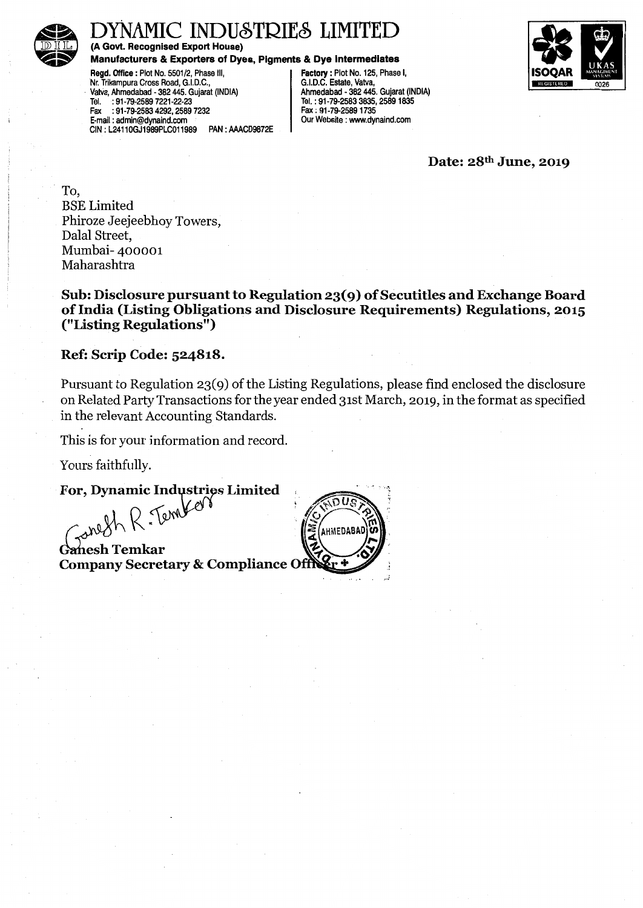

# MIC INDUSTRIES LIMITED

(A Govt. Recognised Export House)

Manufacturers & Exporters of Dyes, Pigments & Dye Intermediates

Regd. Office: Plot No. 5501/2, Phase II, Factory: Plot No. 125, Phase I,<br>Nr. Trikampura Cross Road, G.I.D.C., State, Vatva, Nr. Trikampura Cross Road, G.I.D.C., Vatva, Ahmedabad - 382 445. Guiarat (INDIA) · Vatlia, Ahmedabad • 382 445. Gujarat (INDIA) Ahmedabad - 382 445. Gujarat (INDIA) Tel. : 91-79-2589 7221-22-23<br>
Fax : 91-79-2589 7221-22-23<br>
Fax : 91-79-2583 4292, 2589 7232<br>
Fax : 91-79-2589 1735 Fax :91-79-2583 4292,2589 7232 Fax: 91-79-25891735 E-mail : admin@dynaind.com Our Website : www.dynaind.com CIN : L2411 OGJ1989PLC011989 PAN : AAACD9872E



Date: 28<sup>th</sup> June, 2019

To, BSE Limited Phiroze Jeejeebhoy Towers, Dalal Street, Mumbai- 400001 Maharashtra

Sub: Disclosure pursuant to Regulation 23( 9) of Secutitles and Exchange Board of India (Listing Obligations and Disclosure Requirements) Regulations, 2015 ("Listing Regulations")

#### Ref: Scrip Code: 524818.

Pursuant to Regulation 23(9) of the Listing Regulations, please find enclosed the disclosure on Related Party Transactions for the year ended 31st March, 2019, in the format as specified in the relevant Accounting Standards.

This is for your information and record.

Yours faithfully.

For, Dynamic Industries Limited<br> $\int_{\mathcal{A}} \int_{\mathcal{A}} \int_{\mathcal{A}} \int_{\mathcal{A}} \int_{\mathcal{A}}$ 

 $\int_{\mathcal{A}}^{\mathcal{A}} \mathcal{A} \mathcal{A} \mathcal{A} \mathcal{A} \mathcal{A}$  Canesh Temkar<br>Company Secretary & Compliance Off

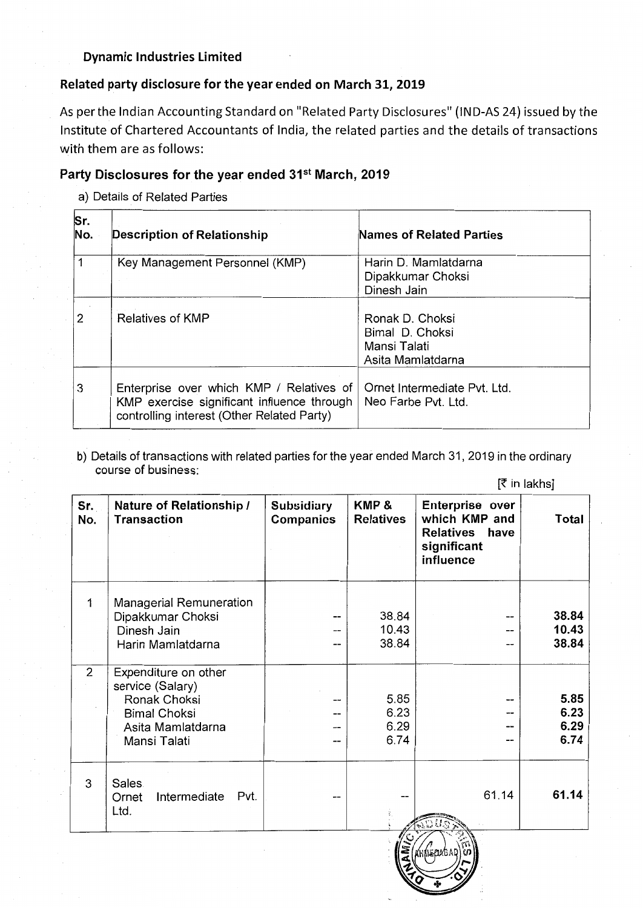### Dynamic Industries limited

### Related party disclosure for the year ended on March 31, 2019

As per the Indian Accounting Standard on "Related Party Disclosures" (IND-AS 24) issued by the Institute of Chartered Accountants of India, the related parties and the details of transactions with them are as follows:

## Party Disclosures for the year ended 31<sup>st</sup> March, 2019

a) Details of Related Parties

| Sr.<br>No. | Description of Relationship                                                                                                          | <b>Names of Related Parties</b>                                         |
|------------|--------------------------------------------------------------------------------------------------------------------------------------|-------------------------------------------------------------------------|
|            | Key Management Personnel (KMP)                                                                                                       | Harin D. Mamlatdarna<br>Dipakkumar Choksi<br>Dinesh Jain                |
| 2          | <b>Relatives of KMP</b>                                                                                                              | Ronak D. Choksi<br>Bimal D. Choksi<br>Mansi Talati<br>Asita Mamlatdarna |
| 3          | Enterprise over which KMP / Relatives of<br>KMP exercise significant influence through<br>controlling interest (Other Related Party) | Ornet Intermediate Pvt. Ltd.<br>Neo Farbe Pyt. Ltd.                     |

b) Details of transactions with related parties for the year ended March 31, 2019 in the ordinary course of business: [~in lakhs]

|                                                                                                                      |                                       |                              |                                                                                | $\mathbf{1}$                 |
|----------------------------------------------------------------------------------------------------------------------|---------------------------------------|------------------------------|--------------------------------------------------------------------------------|------------------------------|
| Nature of Relationship /<br><b>Transaction</b>                                                                       | <b>Subsidiary</b><br><b>Companies</b> | KMP&<br><b>Relatives</b>     | Enterprise over<br>which KMP and<br>Relatives have<br>significant<br>influence | <b>Total</b>                 |
| <b>Managerial Remuneration</b><br>Dipakkumar Choksi<br>Dinesh Jain<br>Harin Mamlatdarna                              | --<br>--<br>--                        | 38.84<br>10.43<br>38.84      |                                                                                | 38.84<br>10.43<br>38.84      |
| Expenditure on other<br>service (Salary)<br>Ronak Choksi<br><b>Bimal Choksi</b><br>Asita Mamlatdarna<br>Mansi Talati | --<br>--<br>--                        | 5.85<br>6.23<br>6.29<br>6.74 |                                                                                | 5.85<br>6.23<br>6.29<br>6.74 |
| Sales.<br>Pvt.<br>Intermediate<br>Ornet<br>Ltd.                                                                      |                                       |                              | 61.14                                                                          | 61.14                        |
|                                                                                                                      |                                       |                              | ري⁄ا                                                                           |                              |